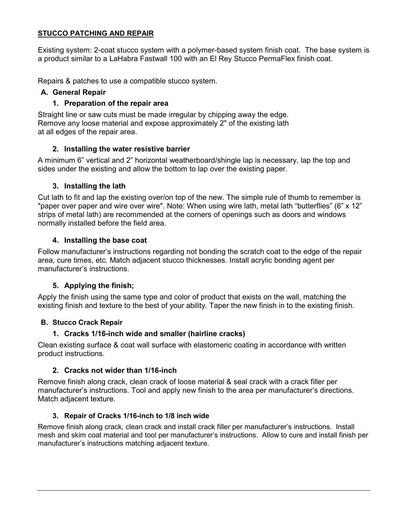### **STUCCO PATCHING AND REPAIR**

Existing system: 2-coat stucco system with a polymer-based system finish coat. The base system is a product similar to a LaHabra Fastwall 100 with an El Rey Stucco PermaFlex finish coat.

Repairs & patches to use a compatible stucco system.

## **A. General Repair**

## **1. Preparation of the repair area**

Straight line or saw cuts must be made irregular by chipping away the edge. Remove any loose material and expose approximately 2" of the existing lath at all edges of the repair area.

# **2. Installing the water resistive barrier**

A minimum 6" vertical and 2" horizontal weatherboard/shingle lap is necessary, lap the top and sides under the existing and allow the bottom to lap over the existing paper.

# **3. Installing the lath**

Cut lath to fit and lap the existing over/on top of the new. The simple rule of thumb to remember is "paper over paper and wire over wire". Note: When using wire lath, metal lath "butterflies" (6" x 12" strips of metal lath) are recommended at the corners of openings such as doors and windows normally installed before the field area.

## **4. Installing the base coat**

Follow manufacturer's instructions regarding not bonding the scratch coat to the edge of the repair area, cure times, etc. Match adjacent stucco thicknesses. Install acrylic bonding agent per manufacturer's instructions.

## **5. Applying the finish;**

Apply the finish using the same type and color of product that exists on the wall, matching the existing finish and texture to the best of your ability. Taper the new finish in to the existing finish.

## **B. Stucco Crack Repair**

## **1. Cracks 1/16-inch wide and smaller (hairline cracks)**

Clean existing surface & coat wall surface with elastomeric coating in accordance with written product instructions.

## **2. Cracks not wider than 1/16-inch**

Remove finish along crack, clean crack of loose material & seal crack with a crack filler per manufacturer's instructions. Tool and apply new finish to the area per manufacturer's directions. Match adjacent texture.

## **3. Repair of Cracks 1/16-inch to 1/8 inch wide**

Remove finish along crack, clean crack and install crack filler per manufacturer's instructions. Install mesh and skim coat material and tool per manufacturer's instructions. Allow to cure and install finish per manufacturer's instructions matching adjacent texture.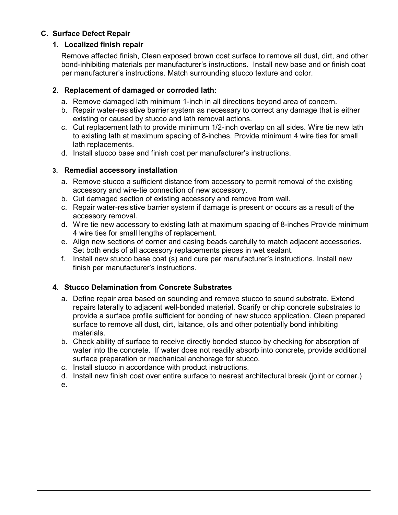# **C. Surface Defect Repair**

## **1. Localized finish repair**

Remove affected finish, Clean exposed brown coat surface to remove all dust, dirt, and other bond-inhibiting materials per manufacturer's instructions. Install new base and or finish coat per manufacturer's instructions. Match surrounding stucco texture and color.

### **2. Replacement of damaged or corroded lath:**

- a. Remove damaged lath minimum 1-inch in all directions beyond area of concern.
- b. Repair water-resistive barrier system as necessary to correct any damage that is either existing or caused by stucco and lath removal actions.
- c. Cut replacement lath to provide minimum 1/2-inch overlap on all sides. Wire tie new lath to existing lath at maximum spacing of 8-inches. Provide minimum 4 wire ties for small lath replacements.
- d. Install stucco base and finish coat per manufacturer's instructions.

### **3. Remedial accessory installation**

- a. Remove stucco a sufficient distance from accessory to permit removal of the existing accessory and wire-tie connection of new accessory.
- b. Cut damaged section of existing accessory and remove from wall.
- c. Repair water-resistive barrier system if damage is present or occurs as a result of the accessory removal.
- d. Wire tie new accessory to existing lath at maximum spacing of 8-inches Provide minimum 4 wire ties for small lengths of replacement.
- e. Align new sections of corner and casing beads carefully to match adjacent accessories. Set both ends of all accessory replacements pieces in wet sealant.
- f. Install new stucco base coat (s) and cure per manufacturer's instructions. Install new finish per manufacturer's instructions.

## **4. Stucco Delamination from Concrete Substrates**

- a. Define repair area based on sounding and remove stucco to sound substrate. Extend repairs laterally to adjacent well-bonded material. Scarify or chip concrete substrates to provide a surface profile sufficient for bonding of new stucco application. Clean prepared surface to remove all dust, dirt, laitance, oils and other potentially bond inhibiting materials.
- b. Check ability of surface to receive directly bonded stucco by checking for absorption of water into the concrete. If water does not readily absorb into concrete, provide additional surface preparation or mechanical anchorage for stucco.
- c. Install stucco in accordance with product instructions.
- d. Install new finish coat over entire surface to nearest architectural break (joint or corner.)

e.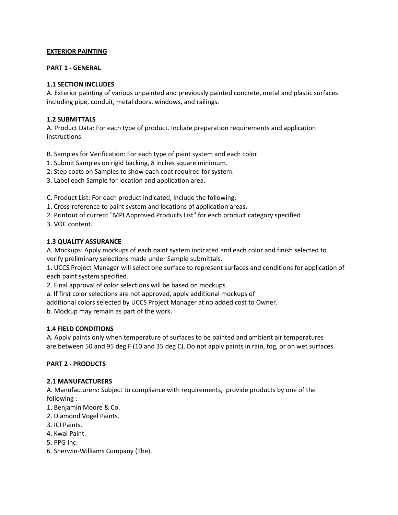### **EXTERIOR PAINTING**

#### **PART 1 - GENERAL**

#### **1.1 SECTION INCLUDES**

A. Exterior painting of various unpainted and previously painted concrete, metal and plastic surfaces including pipe, conduit, metal doors, windows, and railings.

#### **1.2 SUBMITTALS**

A. Product Data: For each type of product. Include preparation requirements and application instructions.

B. Samples for Verification: For each type of paint system and each color.

- 1. Submit Samples on rigid backing, 8 inches square minimum.
- 2. Step coats on Samples to show each coat required for system.
- 3. Label each Sample for location and application area.

C. Product List: For each product indicated, include the following:

- 1. Cross-reference to paint system and locations of application areas.
- 2. Printout of current "MPI Approved Products List" for each product category specified
- 3. VOC content.

### **1.3 QUALITY ASSURANCE**

A. Mockups: Apply mockups of each paint system indicated and each color and finish selected to verify preliminary selections made under Sample submittals.

1. UCCS Project Manager will select one surface to represent surfaces and conditions for application of each paint system specified.

2. Final approval of color selections will be based on mockups.

a. If first color selections are not approved, apply additional mockups of

additional colors selected by UCCS Project Manager at no added cost to Owner.

b. Mockup may remain as part of the work.

### **1.4 FIELD CONDITIONS**

A. Apply paints only when temperature of surfaces to be painted and ambient air temperatures are between 50 and 95 deg F (10 and 35 deg C). Do not apply paints in rain, fog, or on wet surfaces.

#### **PART 2 - PRODUCTS**

#### **2.1 MANUFACTURERS**

A. Manufacturers: Subject to compliance with requirements, provide products by one of the following :

- 1. Benjamin Moore & Co.
- 2. Diamond Vogel Paints.
- 3. ICI Paints.
- 4. Kwal Paint.
- 5. PPG Inc.
- 6. Sherwin-Williams Company (The).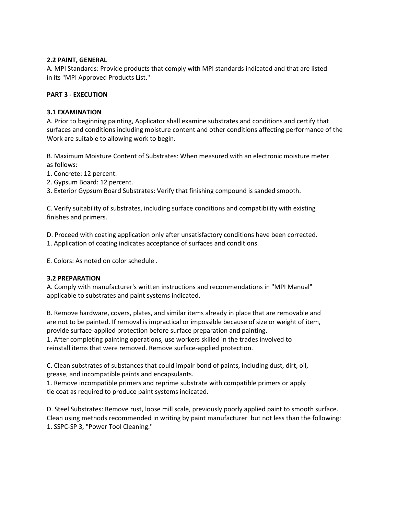#### **2.2 PAINT, GENERAL**

A. MPI Standards: Provide products that comply with MPI standards indicated and that are listed in its "MPI Approved Products List."

#### **PART 3 - EXECUTION**

### **3.1 EXAMINATION**

A. Prior to beginning painting, Applicator shall examine substrates and conditions and certify that surfaces and conditions including moisture content and other conditions affecting performance of the Work are suitable to allowing work to begin.

B. Maximum Moisture Content of Substrates: When measured with an electronic moisture meter as follows:

- 1. Concrete: 12 percent.
- 2. Gypsum Board: 12 percent.

3. Exterior Gypsum Board Substrates: Verify that finishing compound is sanded smooth.

C. Verify suitability of substrates, including surface conditions and compatibility with existing finishes and primers.

D. Proceed with coating application only after unsatisfactory conditions have been corrected.

1. Application of coating indicates acceptance of surfaces and conditions.

E. Colors: As noted on color schedule .

#### **3.2 PREPARATION**

A. Comply with manufacturer's written instructions and recommendations in "MPI Manual" applicable to substrates and paint systems indicated.

B. Remove hardware, covers, plates, and similar items already in place that are removable and are not to be painted. If removal is impractical or impossible because of size or weight of item, provide surface-applied protection before surface preparation and painting.

1. After completing painting operations, use workers skilled in the trades involved to reinstall items that were removed. Remove surface-applied protection.

C. Clean substrates of substances that could impair bond of paints, including dust, dirt, oil, grease, and incompatible paints and encapsulants.

1. Remove incompatible primers and reprime substrate with compatible primers or apply tie coat as required to produce paint systems indicated.

D. Steel Substrates: Remove rust, loose mill scale, previously poorly applied paint to smooth surface. Clean using methods recommended in writing by paint manufacturer but not less than the following: 1. SSPC-SP 3, "Power Tool Cleaning."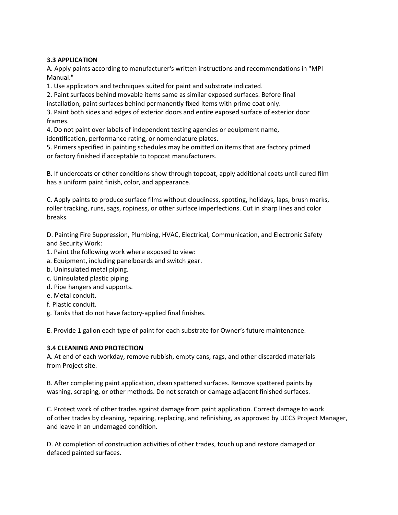### **3.3 APPLICATION**

A. Apply paints according to manufacturer's written instructions and recommendations in "MPI Manual."

1. Use applicators and techniques suited for paint and substrate indicated.

2. Paint surfaces behind movable items same as similar exposed surfaces. Before final installation, paint surfaces behind permanently fixed items with prime coat only.

3. Paint both sides and edges of exterior doors and entire exposed surface of exterior door frames.

4. Do not paint over labels of independent testing agencies or equipment name,

identification, performance rating, or nomenclature plates.

5. Primers specified in painting schedules may be omitted on items that are factory primed or factory finished if acceptable to topcoat manufacturers.

B. If undercoats or other conditions show through topcoat, apply additional coats until cured film has a uniform paint finish, color, and appearance.

C. Apply paints to produce surface films without cloudiness, spotting, holidays, laps, brush marks, roller tracking, runs, sags, ropiness, or other surface imperfections. Cut in sharp lines and color breaks.

D. Painting Fire Suppression, Plumbing, HVAC, Electrical, Communication, and Electronic Safety and Security Work:

- 1. Paint the following work where exposed to view:
- a. Equipment, including panelboards and switch gear.
- b. Uninsulated metal piping.
- c. Uninsulated plastic piping.
- d. Pipe hangers and supports.
- e. Metal conduit.
- f. Plastic conduit.
- g. Tanks that do not have factory-applied final finishes.

E. Provide 1 gallon each type of paint for each substrate for Owner's future maintenance.

#### **3.4 CLEANING AND PROTECTION**

A. At end of each workday, remove rubbish, empty cans, rags, and other discarded materials from Project site.

B. After completing paint application, clean spattered surfaces. Remove spattered paints by washing, scraping, or other methods. Do not scratch or damage adjacent finished surfaces.

C. Protect work of other trades against damage from paint application. Correct damage to work of other trades by cleaning, repairing, replacing, and refinishing, as approved by UCCS Project Manager, and leave in an undamaged condition.

D. At completion of construction activities of other trades, touch up and restore damaged or defaced painted surfaces.